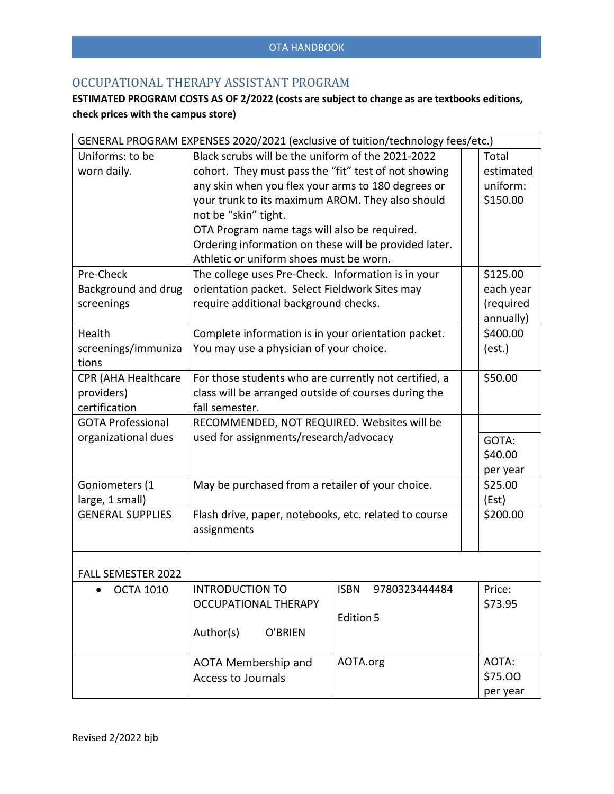#### OTA HANDBOOK

## OCCUPATIONAL THERAPY ASSISTANT PROGRAM

## **ESTIMATED PROGRAM COSTS AS OF 2/2022 (costs are subject to change as are textbooks editions, check prices with the campus store)**

| GENERAL PROGRAM EXPENSES 2020/2021 (exclusive of tuition/technology fees/etc.) |                                                       |                              |           |
|--------------------------------------------------------------------------------|-------------------------------------------------------|------------------------------|-----------|
| Uniforms: to be                                                                | Black scrubs will be the uniform of the 2021-2022     |                              | Total     |
| worn daily.                                                                    | cohort. They must pass the "fit" test of not showing  |                              | estimated |
|                                                                                | any skin when you flex your arms to 180 degrees or    |                              | uniform:  |
|                                                                                | your trunk to its maximum AROM. They also should      |                              | \$150.00  |
|                                                                                | not be "skin" tight.                                  |                              |           |
|                                                                                | OTA Program name tags will also be required.          |                              |           |
|                                                                                | Ordering information on these will be provided later. |                              |           |
|                                                                                | Athletic or uniform shoes must be worn.               |                              |           |
| Pre-Check                                                                      | The college uses Pre-Check. Information is in your    |                              | \$125.00  |
| Background and drug                                                            | orientation packet. Select Fieldwork Sites may        |                              | each year |
| screenings                                                                     | require additional background checks.                 |                              | (required |
|                                                                                |                                                       |                              | annually) |
| Health                                                                         | Complete information is in your orientation packet.   |                              | \$400.00  |
| screenings/immuniza                                                            | You may use a physician of your choice.               |                              | (est.)    |
| tions                                                                          |                                                       |                              |           |
| <b>CPR (AHA Healthcare</b>                                                     | For those students who are currently not certified, a |                              | \$50.00   |
| providers)                                                                     | class will be arranged outside of courses during the  |                              |           |
| certification                                                                  | fall semester.                                        |                              |           |
| <b>GOTA Professional</b>                                                       | RECOMMENDED, NOT REQUIRED. Websites will be           |                              |           |
| organizational dues                                                            | used for assignments/research/advocacy                |                              | GOTA:     |
|                                                                                |                                                       |                              | \$40.00   |
|                                                                                |                                                       |                              | per year  |
| Goniometers (1                                                                 | May be purchased from a retailer of your choice.      |                              | \$25.00   |
| large, 1 small)                                                                |                                                       |                              | (Est)     |
| <b>GENERAL SUPPLIES</b>                                                        | Flash drive, paper, notebooks, etc. related to course |                              | \$200.00  |
|                                                                                | assignments                                           |                              |           |
|                                                                                |                                                       |                              |           |
|                                                                                |                                                       |                              |           |
| <b>FALL SEMESTER 2022</b>                                                      |                                                       |                              |           |
| <b>OCTA 1010</b>                                                               | <b>INTRODUCTION TO</b>                                | 9780323444484<br><b>ISBN</b> | Price:    |
|                                                                                | <b>OCCUPATIONAL THERAPY</b>                           |                              | \$73.95   |
|                                                                                |                                                       | Edition 5                    |           |
|                                                                                | Author(s)<br>O'BRIEN                                  |                              |           |
|                                                                                |                                                       |                              |           |
|                                                                                | AOTA Membership and                                   | AOTA.org                     | AOTA:     |
|                                                                                | Access to Journals                                    |                              | \$75.00   |
|                                                                                |                                                       |                              | per year  |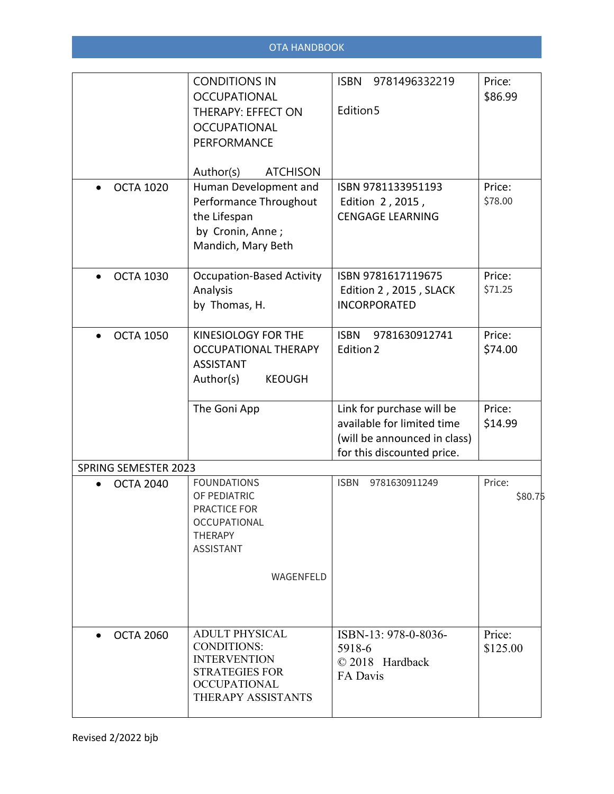|                               | <b>CONDITIONS IN</b><br><b>OCCUPATIONAL</b><br>THERAPY: EFFECT ON<br><b>OCCUPATIONAL</b><br><b>PERFORMANCE</b>                            | <b>ISBN</b><br>9781496332219<br>Edition <sub>5</sub>                                                                  | Price:<br>\$86.99  |
|-------------------------------|-------------------------------------------------------------------------------------------------------------------------------------------|-----------------------------------------------------------------------------------------------------------------------|--------------------|
| <b>OCTA 1020</b>              | Author(s)<br><b>ATCHISON</b><br>Human Development and<br>Performance Throughout<br>the Lifespan<br>by Cronin, Anne;<br>Mandich, Mary Beth | ISBN 9781133951193<br>Edition 2, 2015,<br><b>CENGAGE LEARNING</b>                                                     | Price:<br>\$78.00  |
| <b>OCTA 1030</b>              | <b>Occupation-Based Activity</b><br>Analysis<br>by Thomas, H.                                                                             | ISBN 9781617119675<br>Edition 2, 2015, SLACK<br><b>INCORPORATED</b>                                                   | Price:<br>\$71.25  |
| <b>OCTA 1050</b>              | KINESIOLOGY FOR THE<br><b>OCCUPATIONAL THERAPY</b><br><b>ASSISTANT</b><br>Author(s)<br><b>KEOUGH</b>                                      | <b>ISBN</b><br>9781630912741<br>Edition 2                                                                             | Price:<br>\$74.00  |
|                               | The Goni App                                                                                                                              | Link for purchase will be<br>available for limited time<br>(will be announced in class)<br>for this discounted price. | Price:<br>\$14.99  |
| <b>SPRING SEMESTER 2023</b>   |                                                                                                                                           |                                                                                                                       |                    |
| <b>OCTA 2040</b>              | <b>FOUNDATIONS</b><br>OF PEDIATRIC<br>PRACTICE FOR<br><b>OCCUPATIONAL</b><br><b>THERAPY</b><br><b>ASSISTANT</b>                           | 9781630911249<br><b>ISBN</b>                                                                                          | Price:<br>\$80.75  |
|                               | WAGENFELD                                                                                                                                 |                                                                                                                       |                    |
| <b>OCTA 2060</b><br>$\bullet$ | <b>ADULT PHYSICAL</b><br><b>CONDITIONS:</b><br><b>INTERVENTION</b><br><b>STRATEGIES FOR</b><br><b>OCCUPATIONAL</b><br>THERAPY ASSISTANTS  | ISBN-13: 978-0-8036-<br>5918-6<br>© 2018 Hardback<br>FA Davis                                                         | Price:<br>\$125.00 |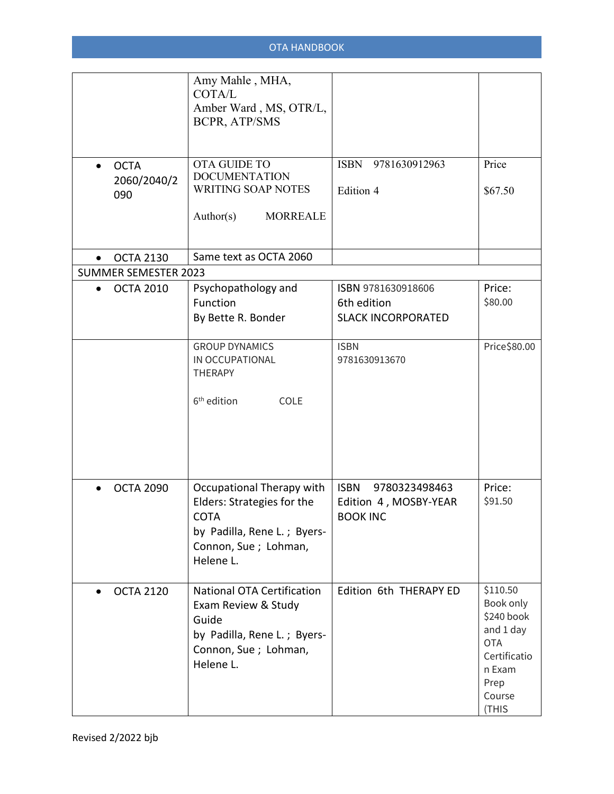#### OTA HANDBOOK

| <b>OCTA</b><br>$\bullet$<br>090 | 2060/2040/2                 | Amy Mahle, MHA,<br>COTA/L<br>Amber Ward, MS, OTR/L,<br><b>BCPR, ATP/SMS</b><br>OTA GUIDE TO<br><b>DOCUMENTATION</b><br><b>WRITING SOAP NOTES</b><br><b>MORREALE</b><br>Author(s) | <b>ISBN</b><br>9781630912963<br>Edition 4                                | Price<br>\$67.50                                                                                                    |
|---------------------------------|-----------------------------|----------------------------------------------------------------------------------------------------------------------------------------------------------------------------------|--------------------------------------------------------------------------|---------------------------------------------------------------------------------------------------------------------|
|                                 | <b>OCTA 2130</b>            | Same text as OCTA 2060                                                                                                                                                           |                                                                          |                                                                                                                     |
|                                 | <b>SUMMER SEMESTER 2023</b> |                                                                                                                                                                                  |                                                                          |                                                                                                                     |
| $\bullet$                       | <b>OCTA 2010</b>            | Psychopathology and<br>Function<br>By Bette R. Bonder                                                                                                                            | ISBN 9781630918606<br>6th edition<br><b>SLACK INCORPORATED</b>           | Price:<br>\$80.00                                                                                                   |
|                                 |                             | <b>GROUP DYNAMICS</b><br>IN OCCUPATIONAL<br><b>THERAPY</b><br>6 <sup>th</sup> edition<br><b>COLE</b>                                                                             | <b>ISBN</b><br>9781630913670                                             | Price\$80.00                                                                                                        |
|                                 | <b>OCTA 2090</b>            | Occupational Therapy with<br>Elders: Strategies for the<br><b>COTA</b><br>by Padilla, Rene L.; Byers-<br>Connon, Sue ; Lohman,<br>Helene L.                                      | <b>ISBN</b><br>9780323498463<br>Edition 4, MOSBY-YEAR<br><b>BOOK INC</b> | Price:<br>\$91.50                                                                                                   |
|                                 | <b>OCTA 2120</b>            | <b>National OTA Certification</b><br>Exam Review & Study<br>Guide<br>by Padilla, Rene L.; Byers-<br>Connon, Sue ; Lohman,<br>Helene L.                                           | Edition 6th THERAPY ED                                                   | \$110.50<br>Book only<br>\$240 book<br>and 1 day<br><b>OTA</b><br>Certificatio<br>n Exam<br>Prep<br>Course<br>(THIS |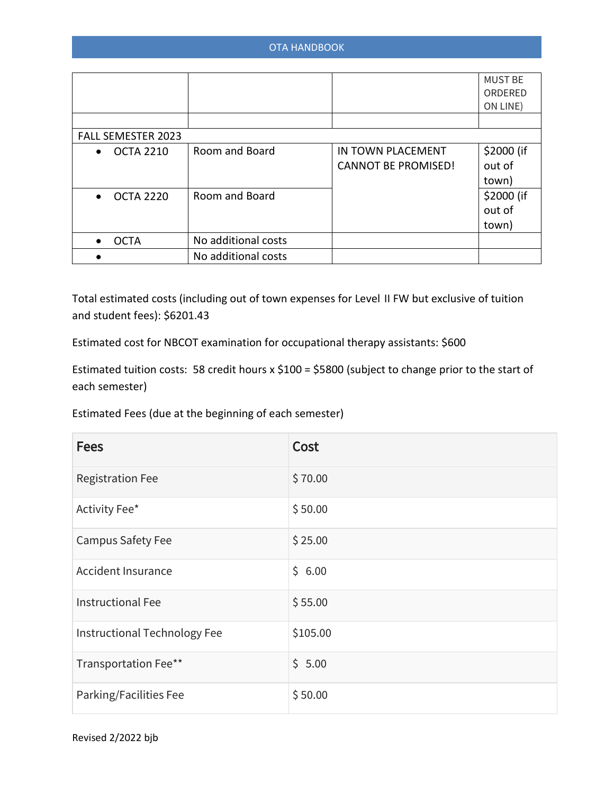|                               |                     |                            | <b>MUST BE</b><br>ORDERED |
|-------------------------------|---------------------|----------------------------|---------------------------|
|                               |                     |                            | ON LINE)                  |
|                               |                     |                            |                           |
| <b>FALL SEMESTER 2023</b>     |                     |                            |                           |
| <b>OCTA 2210</b><br>$\bullet$ | Room and Board      | IN TOWN PLACEMENT          | \$2000 (if                |
|                               |                     | <b>CANNOT BE PROMISED!</b> | out of                    |
|                               |                     |                            | town)                     |
| <b>OCTA 2220</b><br>$\bullet$ | Room and Board      |                            | \$2000 (if                |
|                               |                     |                            | out of                    |
|                               |                     |                            | town)                     |
| <b>OCTA</b><br>$\bullet$      | No additional costs |                            |                           |
|                               | No additional costs |                            |                           |

 and student fees): \$6201.43 Total estimated costs (including out of town expenses for Level II FW but exclusive of tuition

Estimated cost for NBCOT examination for occupational therapy assistants: \$600

 Estimated tuition costs: 58 credit hours x \$100 = \$5800 (subject to change prior to the start of each semester)

Estimated Fees (due at the beginning of each semester)

| <b>Fees</b>                  | Cost     |
|------------------------------|----------|
| <b>Registration Fee</b>      | \$70.00  |
| Activity Fee*                | \$50.00  |
| Campus Safety Fee            | \$25.00  |
| Accident Insurance           | \$6.00   |
| <b>Instructional Fee</b>     | \$55.00  |
| Instructional Technology Fee | \$105.00 |
| Transportation Fee**         | \$5.00   |
| Parking/Facilities Fee       | \$50.00  |